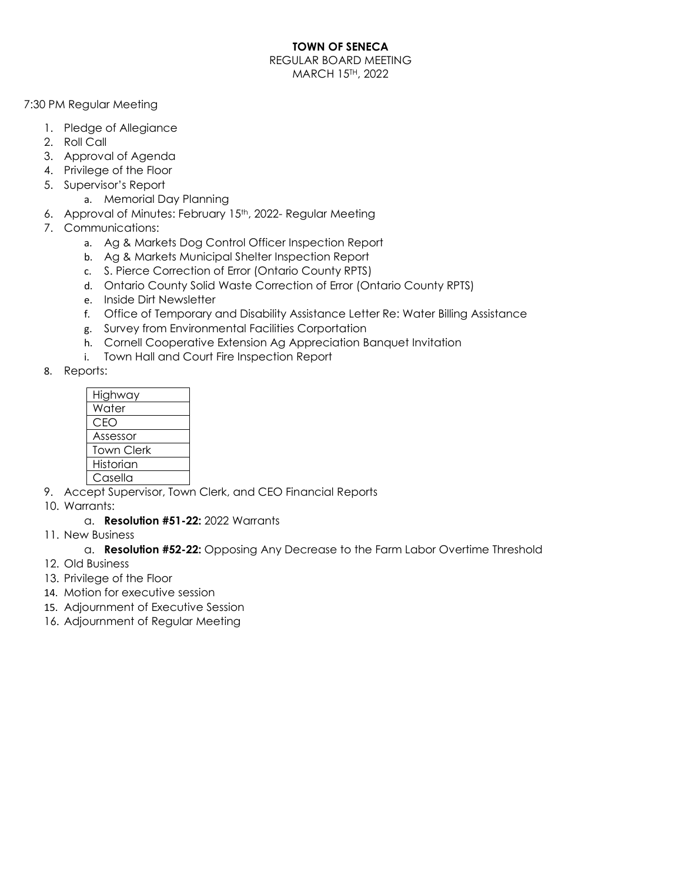### **TOWN OF SENECA**

REGULAR BOARD MEETING MARCH 15TH, 2022

7:30 PM Regular Meeting

- 1. Pledge of Allegiance
- 2. Roll Call
- 3. Approval of Agenda
- 4. Privilege of the Floor
- 5. Supervisor's Report
	- a. Memorial Day Planning
- 6. Approval of Minutes: February 15th, 2022- Regular Meeting
- 7. Communications:
	- a. Ag & Markets Dog Control Officer Inspection Report
	- b. Ag & Markets Municipal Shelter Inspection Report
	- c. S. Pierce Correction of Error (Ontario County RPTS)
	- d. Ontario County Solid Waste Correction of Error (Ontario County RPTS)
	- e. Inside Dirt Newsletter
	- f. Office of Temporary and Disability Assistance Letter Re: Water Billing Assistance
	- g. Survey from Environmental Facilities Corportation
	- h. Cornell Cooperative Extension Ag Appreciation Banquet Invitation
	- i. Town Hall and Court Fire Inspection Report
- 8. Reports:

| Highway           |
|-------------------|
| Water             |
| CEO               |
| Assessor          |
| <b>Town Clerk</b> |
| Historian         |
| Casella           |

- 9. Accept Supervisor, Town Clerk, and CEO Financial Reports
- 10. Warrants:
	- a. **Resolution #51-22:** 2022 Warrants
- 11. New Business
	- a. **Resolution #52-22:** Opposing Any Decrease to the Farm Labor Overtime Threshold
- 12. Old Business
- 13. Privilege of the Floor
- 14. Motion for executive session
- 15. Adjournment of Executive Session
- 16. Adjournment of Regular Meeting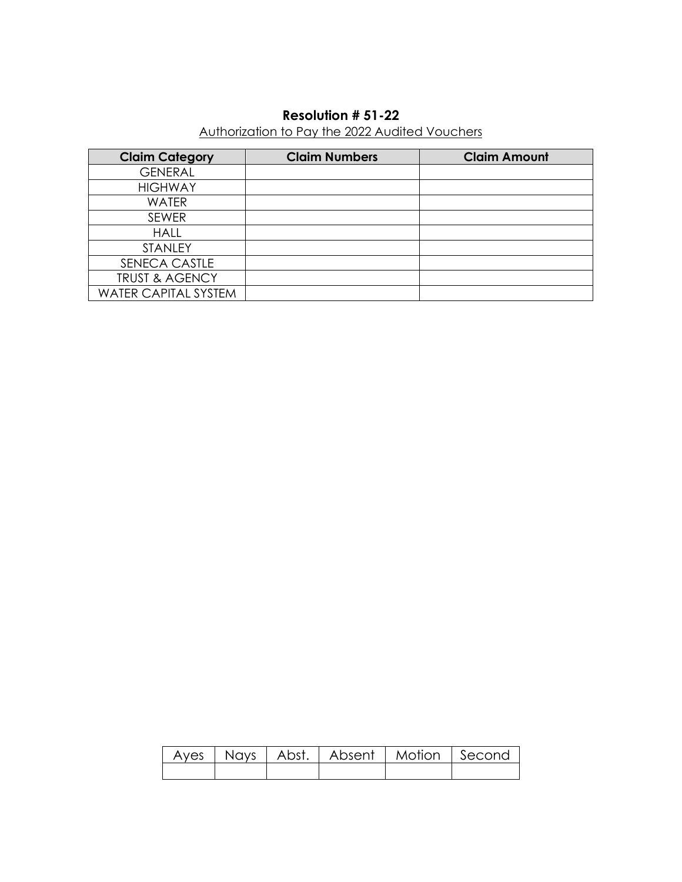## **Resolution # 51-22**

# Authorization to Pay the 2022 Audited Vouchers

| <b>Claim Category</b>       | <b>Claim Numbers</b> | <b>Claim Amount</b> |
|-----------------------------|----------------------|---------------------|
| <b>GENERAL</b>              |                      |                     |
| <b>HIGHWAY</b>              |                      |                     |
| <b>WATER</b>                |                      |                     |
| <b>SEWER</b>                |                      |                     |
| <b>HALL</b>                 |                      |                     |
| <b>STANLEY</b>              |                      |                     |
| SENECA CASTLE               |                      |                     |
| <b>TRUST &amp; AGENCY</b>   |                      |                     |
| <b>WATER CAPITAL SYSTEM</b> |                      |                     |

|  | Ayes   Nays   Abst.   Absent   Motion   Second |  |
|--|------------------------------------------------|--|
|  |                                                |  |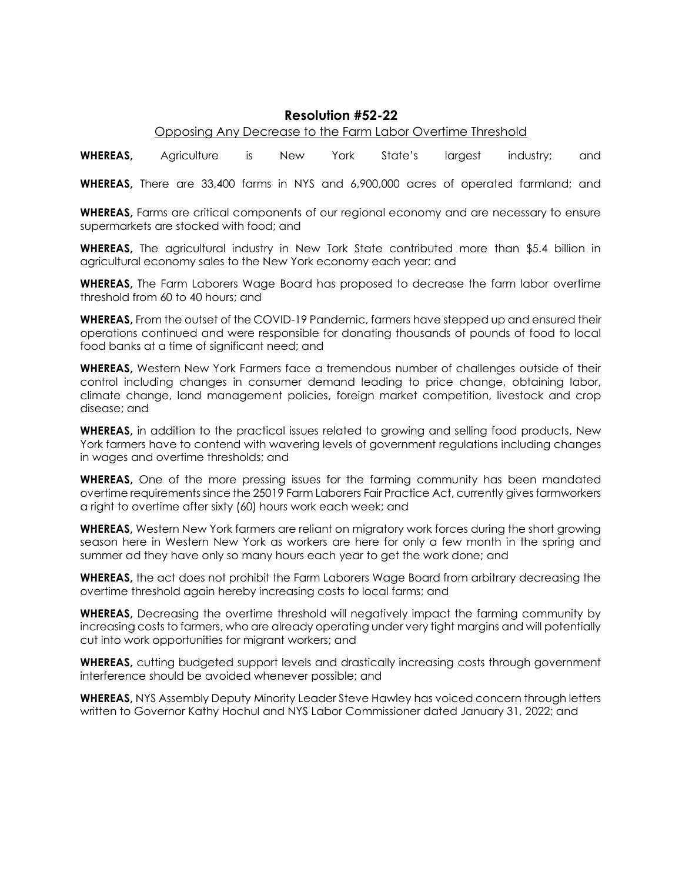### **Resolution #52-22**

#### Opposing Any Decrease to the Farm Labor Overtime Threshold

**WHEREAS,** Agriculture is New York State's largest industry; and

**WHEREAS,** There are 33,400 farms in NYS and 6,900,000 acres of operated farmland; and

**WHEREAS,** Farms are critical components of our regional economy and are necessary to ensure supermarkets are stocked with food; and

**WHEREAS,** The agricultural industry in New Tork State contributed more than \$5.4 billion in agricultural economy sales to the New York economy each year; and

**WHEREAS,** The Farm Laborers Wage Board has proposed to decrease the farm labor overtime threshold from 60 to 40 hours; and

**WHEREAS,** From the outset of the COVID-19 Pandemic, farmers have stepped up and ensured their operations continued and were responsible for donating thousands of pounds of food to local food banks at a time of significant need; and

**WHEREAS,** Western New York Farmers face a tremendous number of challenges outside of their control including changes in consumer demand leading to price change, obtaining labor, climate change, land management policies, foreign market competition, livestock and crop disease; and

**WHEREAS,** in addition to the practical issues related to growing and selling food products, New York farmers have to contend with wavering levels of government regulations including changes in wages and overtime thresholds; and

**WHEREAS,** One of the more pressing issues for the farming community has been mandated overtime requirements since the 25019 Farm Laborers Fair Practice Act, currently gives farmworkers a right to overtime after sixty (60) hours work each week; and

**WHEREAS,** Western New York farmers are reliant on migratory work forces during the short growing season here in Western New York as workers are here for only a few month in the spring and summer ad they have only so many hours each year to get the work done; and

**WHEREAS,** the act does not prohibit the Farm Laborers Wage Board from arbitrary decreasing the overtime threshold again hereby increasing costs to local farms; and

**WHEREAS,** Decreasing the overtime threshold will negatively impact the farming community by increasing costs to farmers, who are already operating under very tight margins and will potentially cut into work opportunities for migrant workers; and

**WHEREAS,** cutting budgeted support levels and drastically increasing costs through government interference should be avoided whenever possible; and

**WHEREAS,** NYS Assembly Deputy Minority Leader Steve Hawley has voiced concern through letters written to Governor Kathy Hochul and NYS Labor Commissioner dated January 31, 2022; and